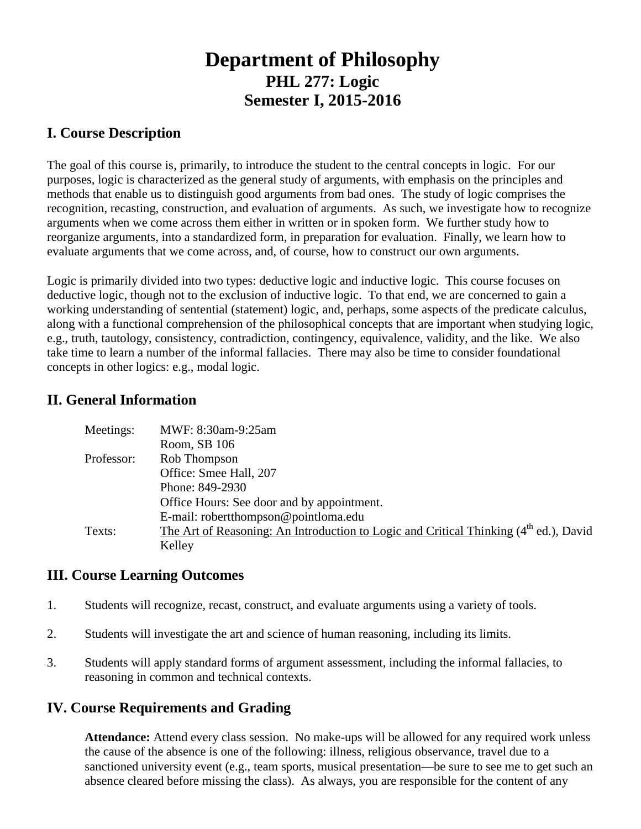# **Department of Philosophy PHL 277: Logic Semester I, 2015-2016**

#### **I. Course Description**

The goal of this course is, primarily, to introduce the student to the central concepts in logic. For our purposes, logic is characterized as the general study of arguments, with emphasis on the principles and methods that enable us to distinguish good arguments from bad ones. The study of logic comprises the recognition, recasting, construction, and evaluation of arguments. As such, we investigate how to recognize arguments when we come across them either in written or in spoken form. We further study how to reorganize arguments, into a standardized form, in preparation for evaluation. Finally, we learn how to evaluate arguments that we come across, and, of course, how to construct our own arguments.

Logic is primarily divided into two types: deductive logic and inductive logic. This course focuses on deductive logic, though not to the exclusion of inductive logic. To that end, we are concerned to gain a working understanding of sentential (statement) logic, and, perhaps, some aspects of the predicate calculus, along with a functional comprehension of the philosophical concepts that are important when studying logic, e.g., truth, tautology, consistency, contradiction, contingency, equivalence, validity, and the like. We also take time to learn a number of the informal fallacies. There may also be time to consider foundational concepts in other logics: e.g., modal logic.

#### **II. General Information**

| Meetings:  | MWF: 8:30am-9:25am                                                                      |
|------------|-----------------------------------------------------------------------------------------|
|            | Room, SB 106                                                                            |
| Professor: | Rob Thompson                                                                            |
|            | Office: Smee Hall, 207                                                                  |
|            | Phone: 849-2930                                                                         |
|            | Office Hours: See door and by appointment.                                              |
|            | E-mail: robertthompson@pointloma.edu                                                    |
| Texts:     | The Art of Reasoning: An Introduction to Logic and Critical Thinking $(4th$ ed.), David |
|            | Kelley                                                                                  |

#### **III. Course Learning Outcomes**

- 1. Students will recognize, recast, construct, and evaluate arguments using a variety of tools.
- 2. Students will investigate the art and science of human reasoning, including its limits.
- 3. Students will apply standard forms of argument assessment, including the informal fallacies, to reasoning in common and technical contexts.

## **IV. Course Requirements and Grading**

**Attendance:** Attend every class session. No make-ups will be allowed for any required work unless the cause of the absence is one of the following: illness, religious observance, travel due to a sanctioned university event (e.g., team sports, musical presentation—be sure to see me to get such an absence cleared before missing the class). As always, you are responsible for the content of any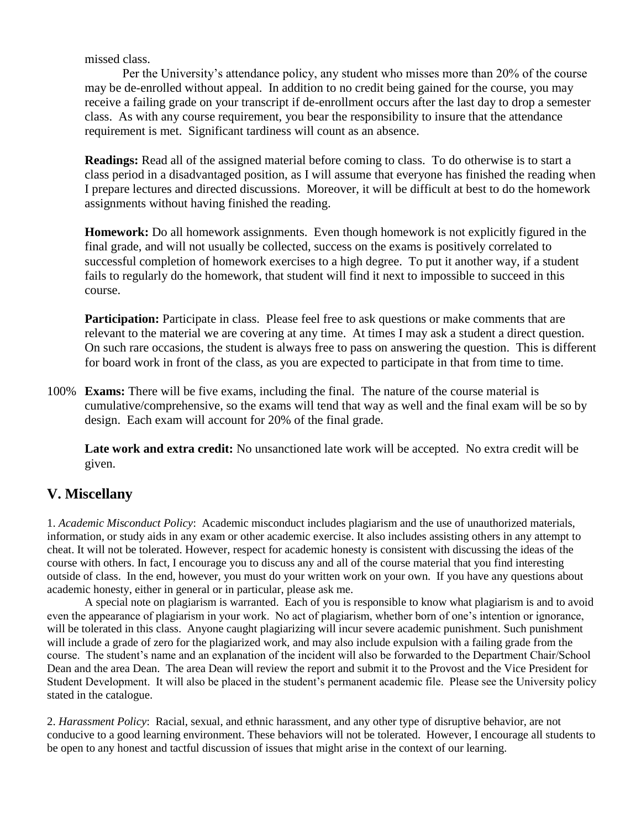missed class.

Per the University's attendance policy, any student who misses more than 20% of the course may be de-enrolled without appeal. In addition to no credit being gained for the course, you may receive a failing grade on your transcript if de-enrollment occurs after the last day to drop a semester class. As with any course requirement, you bear the responsibility to insure that the attendance requirement is met. Significant tardiness will count as an absence.

**Readings:** Read all of the assigned material before coming to class. To do otherwise is to start a class period in a disadvantaged position, as I will assume that everyone has finished the reading when I prepare lectures and directed discussions. Moreover, it will be difficult at best to do the homework assignments without having finished the reading.

**Homework:** Do all homework assignments. Even though homework is not explicitly figured in the final grade, and will not usually be collected, success on the exams is positively correlated to successful completion of homework exercises to a high degree. To put it another way, if a student fails to regularly do the homework, that student will find it next to impossible to succeed in this course.

**Participation:** Participate in class. Please feel free to ask questions or make comments that are relevant to the material we are covering at any time. At times I may ask a student a direct question. On such rare occasions, the student is always free to pass on answering the question. This is different for board work in front of the class, as you are expected to participate in that from time to time.

100% **Exams:** There will be five exams, including the final. The nature of the course material is cumulative/comprehensive, so the exams will tend that way as well and the final exam will be so by design. Each exam will account for 20% of the final grade.

**Late work and extra credit:** No unsanctioned late work will be accepted. No extra credit will be given.

# **V. Miscellany**

1. *Academic Misconduct Policy*: Academic misconduct includes plagiarism and the use of unauthorized materials, information, or study aids in any exam or other academic exercise. It also includes assisting others in any attempt to cheat. It will not be tolerated. However, respect for academic honesty is consistent with discussing the ideas of the course with others. In fact, I encourage you to discuss any and all of the course material that you find interesting outside of class. In the end, however, you must do your written work on your own. If you have any questions about academic honesty, either in general or in particular, please ask me.

A special note on plagiarism is warranted. Each of you is responsible to know what plagiarism is and to avoid even the appearance of plagiarism in your work. No act of plagiarism, whether born of one's intention or ignorance, will be tolerated in this class. Anyone caught plagiarizing will incur severe academic punishment. Such punishment will include a grade of zero for the plagiarized work, and may also include expulsion with a failing grade from the course. The student's name and an explanation of the incident will also be forwarded to the Department Chair/School Dean and the area Dean. The area Dean will review the report and submit it to the Provost and the Vice President for Student Development. It will also be placed in the student's permanent academic file. Please see the University policy stated in the catalogue.

2. *Harassment Policy*: Racial, sexual, and ethnic harassment, and any other type of disruptive behavior, are not conducive to a good learning environment. These behaviors will not be tolerated. However, I encourage all students to be open to any honest and tactful discussion of issues that might arise in the context of our learning.